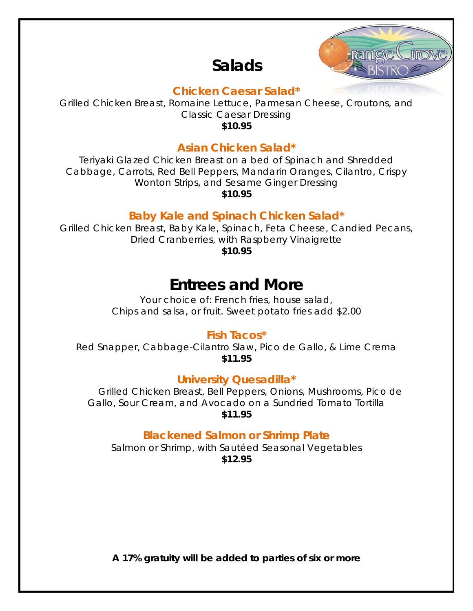# **Salads**



#### **Chicken Caesar Salad\***

Grilled Chicken Breast, Romaine Lettuce, Parmesan Cheese, Croutons, and Classic Caesar Dressing **\$10.95**

### **Asian Chicken Salad\***

Teriyaki Glazed Chicken Breast on a bed of Spinach and Shredded Cabbage, Carrots, Red Bell Peppers, Mandarin Oranges, Cilantro, Crispy Wonton Strips, and Sesame Ginger Dressing **\$10.95**

### **Baby Kale and Spinach Chicken Salad\***

Grilled Chicken Breast, Baby Kale, Spinach, Feta Cheese, Candied Pecans, Dried Cranberries, with Raspberry Vinaigrette

**\$10.95**

### **Entrees and More**

*Your choice of: French fries, house salad, Chips and salsa, or fruit. Sweet potato fries add \$2.00*

#### **Fish Tacos\***

Red Snapper, Cabbage-Cilantro Slaw, Pico de Gallo, & Lime Crema **\$11.95**

#### **University Quesadilla\***

Grilled Chicken Breast, Bell Peppers, Onions, Mushrooms, Pico de Gallo, Sour Cream, and Avocado on a Sundried Tomato Tortilla **\$11.95**

### **Blackened Salmon or Shrimp Plate**

Salmon or Shrimp, with Sautéed Seasonal Vegetables **\$12.95**

**A 17% gratuity will be added to parties of six or more**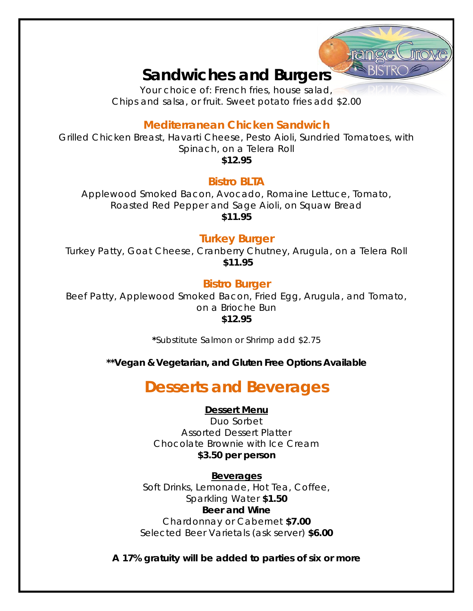### **Sandwiches and Burgers**

*Your choice of: French fries, house salad, Chips and salsa, or fruit. Sweet potato fries add \$2.00*

### **Mediterranean Chicken Sandwich**

Grilled Chicken Breast, Havarti Cheese, Pesto Aioli, Sundried Tomatoes, with Spinach, on a Telera Roll **\$12.95**

#### **Bistro BLTA**

Applewood Smoked Bacon, Avocado, Romaine Lettuce, Tomato, Roasted Red Pepper and Sage Aioli, on Squaw Bread **\$11.95**

### **Turkey Burger**

Turkey Patty, Goat Cheese, Cranberry Chutney, Arugula, on a Telera Roll **\$11.95**

#### **Bistro Burger**

Beef Patty, Applewood Smoked Bacon, Fried Egg, Arugula, and Tomato, on a Brioche Bun **\$12.95**

*\*Substitute Salmon or Shrimp add \$2.75*

**\*\*Vegan & Vegetarian, and Gluten Free Options Available**

# **Desserts and Beverages**

#### **Dessert Menu**

Duo Sorbet Assorted Dessert Platter Chocolate Brownie with Ice Cream **\$3.50 per person**

**Beverages** Soft Drinks, Lemonade, Hot Tea, Coffee, Sparkling Water **\$1.50 Beer and Wine** Chardonnay or Cabernet **\$7.00** Selected Beer Varietals (ask server) **\$6.00**

**A 17% gratuity will be added to parties of six or more**